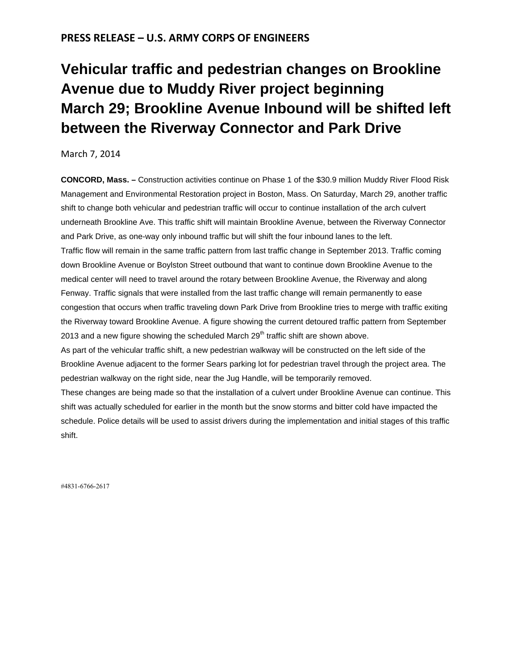## **PRESS RELEASE – U.S. ARMY CORPS OF ENGINEERS**

## **Vehicular traffic and [pedestrian](http://www.nae.usace.army.mil/Media/NewsReleases/tabid/11736/Article/22316/vehicular-traffic-and-pedestrian-changes-on-brookline-avenue-due-to-muddy-river.aspx) changes on Brookline Avenue due to Muddy River project [beginning](http://www.nae.usace.army.mil/Media/NewsReleases/tabid/11736/Article/22316/vehicular-traffic-and-pedestrian-changes-on-brookline-avenue-due-to-muddy-river.aspx) March 29; [Brookline](http://www.nae.usace.army.mil/Media/NewsReleases/tabid/11736/Article/22316/vehicular-traffic-and-pedestrian-changes-on-brookline-avenue-due-to-muddy-river.aspx) Avenue Inbound will be shifted left between the Riverway [Connector](http://www.nae.usace.army.mil/Media/NewsReleases/tabid/11736/Article/22316/vehicular-traffic-and-pedestrian-changes-on-brookline-avenue-due-to-muddy-river.aspx) and Park Drive**

March 7, 2014

**CONCORD, Mass. –** Construction activities continue on Phase 1 of the \$30.9 million Muddy River Flood Risk Management and Environmental Restoration project in Boston, Mass. On Saturday, March 29, another traffic shift to change both vehicular and pedestrian traffic will occur to continue installation of the arch culvert underneath Brookline Ave. This traffic shift will maintain Brookline Avenue, between the Riverway Connector and Park Drive, as one-way only inbound traffic but will shift the four inbound lanes to the left. Traffic flow will remain in the same traffic pattern from last traffic change in September 2013. Traffic coming down Brookline Avenue or Boylston Street outbound that want to continue down Brookline Avenue to the medical center will need to travel around the rotary between Brookline Avenue, the Riverway and along Fenway. Traffic signals that were installed from the last traffic change will remain permanently to ease congestion that occurs when traffic traveling down Park Drive from Brookline tries to merge with traffic exiting the Riverway toward Brookline Avenue. A figure showing the current detoured traffic pattern from September 2013 and a new figure showing the scheduled March  $29<sup>th</sup>$  traffic shift are shown above. As part of the vehicular traffic shift, a new pedestrian walkway will be constructed on the left side of the Brookline Avenue adjacent to the former Sears parking lot for pedestrian travel through the project area. The pedestrian walkway on the right side, near the Jug Handle, will be temporarily removed.

These changes are being made so that the installation of a culvert under Brookline Avenue can continue. This shift was actually scheduled for earlier in the month but the snow storms and bitter cold have impacted the schedule. Police details will be used to assist drivers during the implementation and initial stages of this traffic shift.

#4831-6766-2617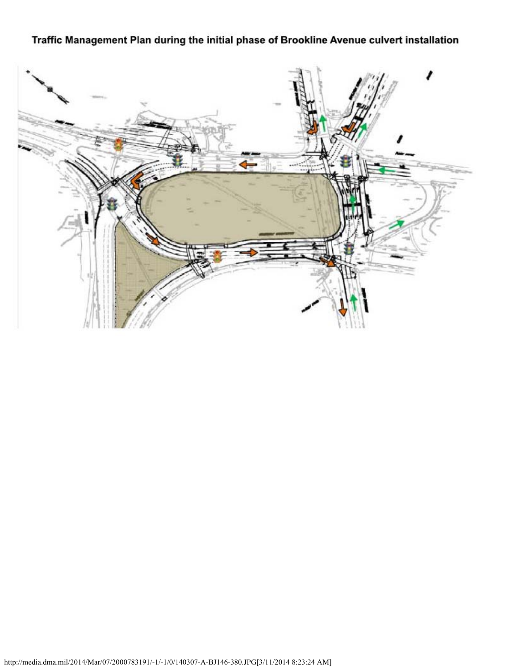## Traffic Management Plan during the initial phase of Brookline Avenue culvert installation